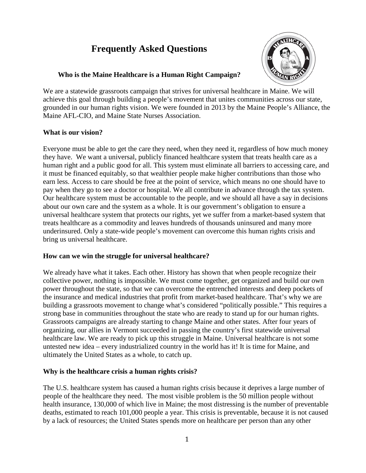# **Frequently Asked Questions**



# **Who is the Maine Healthcare is a Human Right Campaign?**

We are a statewide grassroots campaign that strives for universal healthcare in Maine. We will achieve this goal through building a people's movement that unites communities across our state, grounded in our human rights vision. We were founded in 2013 by the Maine People's Alliance, the Maine AFL-CIO, and Maine State Nurses Association.

# **What is our vision?**

Everyone must be able to get the care they need, when they need it, regardless of how much money they have. We want a universal, publicly financed healthcare system that treats health care as a human right and a public good for all. This system must eliminate all barriers to accessing care, and it must be financed equitably, so that wealthier people make higher contributions than those who earn less. Access to care should be free at the point of service, which means no one should have to pay when they go to see a doctor or hospital. We all contribute in advance through the tax system. Our healthcare system must be accountable to the people, and we should all have a say in decisions about our own care and the system as a whole. It is our government's obligation to ensure a universal healthcare system that protects our rights, yet we suffer from a market-based system that treats healthcare as a commodity and leaves hundreds of thousands uninsured and many more underinsured. Only a state-wide people's movement can overcome this human rights crisis and bring us universal healthcare.

# **How can we win the struggle for universal healthcare?**

We already have what it takes. Each other. History has shown that when people recognize their collective power, nothing is impossible. We must come together, get organized and build our own power throughout the state, so that we can overcome the entrenched interests and deep pockets of the insurance and medical industries that profit from market-based healthcare. That's why we are building a grassroots movement to change what's considered "politically possible." This requires a strong base in communities throughout the state who are ready to stand up for our human rights. Grassroots campaigns are already starting to change Maine and other states. After four years of organizing, our allies in Vermont succeeded in passing the country's first statewide universal healthcare law. We are ready to pick up this struggle in Maine. Universal healthcare is not some untested new idea – every industrialized country in the world has it! It is time for Maine, and ultimately the United States as a whole, to catch up.

# **Why is the healthcare crisis a human rights crisis?**

The U.S. healthcare system has caused a human rights crisis because it deprives a large number of people of the healthcare they need. The most visible problem is the 50 million people without health insurance, 130,000 of which live in Maine; the most distressing is the number of preventable deaths, estimated to reach 101,000 people a year. This crisis is preventable, because it is not caused by a lack of resources; the United States spends more on healthcare per person than any other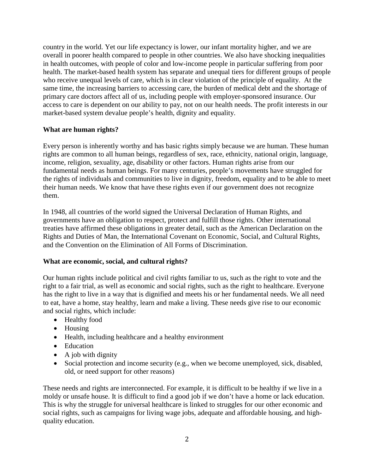country in the world. Yet our life expectancy is lower, our infant mortality higher, and we are overall in poorer health compared to people in other countries. We also have shocking inequalities in health outcomes, with people of color and low-income people in particular suffering from poor health. The market-based health system has separate and unequal tiers for different groups of people who receive unequal levels of care, which is in clear violation of the principle of equality. At the same time, the increasing barriers to accessing care, the burden of medical debt and the shortage of primary care doctors affect all of us, including people with employer-sponsored insurance. Our access to care is dependent on our ability to pay, not on our health needs. The profit interests in our market-based system devalue people's health, dignity and equality.

# **What are human rights?**

Every person is inherently worthy and has basic rights simply because we are human. These human rights are common to all human beings, regardless of sex, race, ethnicity, national origin, language, income, religion, sexuality, age, disability or other factors. Human rights arise from our fundamental needs as human beings. For many centuries, people's movements have struggled for the rights of individuals and communities to live in dignity, freedom, equality and to be able to meet their human needs. We know that have these rights even if our government does not recognize them.

In 1948, all countries of the world signed the Universal Declaration of Human Rights, and governments have an obligation to respect, protect and fulfill those rights. Other international treaties have affirmed these obligations in greater detail, such as the American Declaration on the Rights and Duties of Man, the International Covenant on Economic, Social, and Cultural Rights, and the Convention on the Elimination of All Forms of Discrimination.

#### **What are economic, social, and cultural rights?**

Our human rights include political and civil rights familiar to us, such as the right to vote and the right to a fair trial, as well as economic and social rights, such as the right to healthcare. Everyone has the right to live in a way that is dignified and meets his or her fundamental needs. We all need to eat, have a home, stay healthy, learn and make a living. These needs give rise to our economic and social rights, which include:

- Healthy food
- Housing
- Health, including healthcare and a healthy environment
- Education
- A job with dignity
- Social protection and income security (e.g., when we become unemployed, sick, disabled, old, or need support for other reasons)

These needs and rights are interconnected. For example, it is difficult to be healthy if we live in a moldy or unsafe house. It is difficult to find a good job if we don't have a home or lack education. This is why the struggle for universal healthcare is linked to struggles for our other economic and social rights, such as campaigns for living wage jobs, adequate and affordable housing, and highquality education.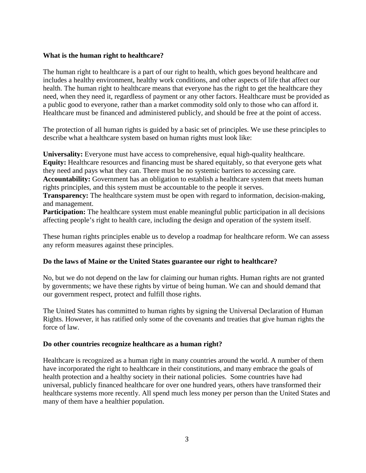#### **What is the human right to healthcare?**

The human right to healthcare is a part of our right to health, which goes beyond healthcare and includes a healthy environment, healthy work conditions, and other aspects of life that affect our health. The human right to healthcare means that everyone has the right to get the healthcare they need, when they need it, regardless of payment or any other factors. Healthcare must be provided as a public good to everyone, rather than a market commodity sold only to those who can afford it. Healthcare must be financed and administered publicly, and should be free at the point of access.

The protection of all human rights is guided by a basic set of principles. We use these principles to describe what a healthcare system based on human rights must look like:

**Universality:** Everyone must have access to comprehensive, equal high-quality healthcare. **Equity:** Healthcare resources and financing must be shared equitably, so that everyone gets what they need and pays what they can. There must be no systemic barriers to accessing care.

**Accountability:** Government has an obligation to establish a healthcare system that meets human rights principles, and this system must be accountable to the people it serves.

**Transparency:** The healthcare system must be open with regard to information, decision-making, and management.

**Participation:** The healthcare system must enable meaningful public participation in all decisions affecting people's right to health care, including the design and operation of the system itself.

These human rights principles enable us to develop a roadmap for healthcare reform. We can assess any reform measures against these principles.

# **Do the laws of Maine or the United States guarantee our right to healthcare?**

No, but we do not depend on the law for claiming our human rights. Human rights are not granted by governments; we have these rights by virtue of being human. We can and should demand that our government respect, protect and fulfill those rights.

The United States has committed to human rights by signing the Universal Declaration of Human Rights. However, it has ratified only some of the covenants and treaties that give human rights the force of law.

#### **Do other countries recognize healthcare as a human right?**

Healthcare is recognized as a human right in many countries around the world. A number of them have incorporated the right to healthcare in their constitutions, and many embrace the goals of health protection and a healthy society in their national policies. Some countries have had universal, publicly financed healthcare for over one hundred years, others have transformed their healthcare systems more recently. All spend much less money per person than the United States and many of them have a healthier population.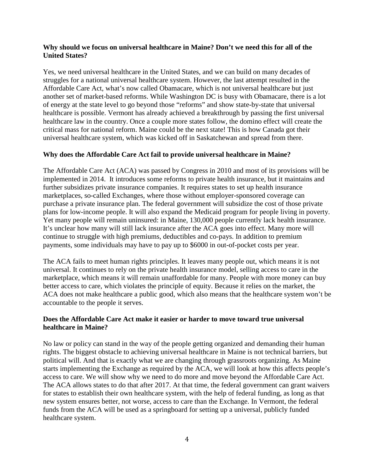## **Why should we focus on universal healthcare in Maine? Don't we need this for all of the United States?**

Yes, we need universal healthcare in the United States, and we can build on many decades of struggles for a national universal healthcare system. However, the last attempt resulted in the Affordable Care Act, what's now called Obamacare, which is not universal healthcare but just another set of market-based reforms. While Washington DC is busy with Obamacare, there is a lot of energy at the state level to go beyond those "reforms" and show state-by-state that universal healthcare is possible. Vermont has already achieved a breakthrough by passing the first universal healthcare law in the country. Once a couple more states follow, the domino effect will create the critical mass for national reform. Maine could be the next state! This is how Canada got their universal healthcare system, which was kicked off in Saskatchewan and spread from there.

# **Why does the Affordable Care Act fail to provide universal healthcare in Maine?**

The Affordable Care Act (ACA) was passed by Congress in 2010 and most of its provisions will be implemented in 2014. It introduces some reforms to private health insurance, but it maintains and further subsidizes private insurance companies. It requires states to set up health insurance marketplaces, so-called Exchanges, where those without employer-sponsored coverage can purchase a private insurance plan. The federal government will subsidize the cost of those private plans for low-income people. It will also expand the Medicaid program for people living in poverty. Yet many people will remain uninsured: in Maine, 130,000 people currently lack health insurance. It's unclear how many will still lack insurance after the ACA goes into effect. Many more will continue to struggle with high premiums, deductibles and co-pays. In addition to premium payments, some individuals may have to pay up to \$6000 in out-of-pocket costs per year.

The ACA fails to meet human rights principles. It leaves many people out, which means it is not universal. It continues to rely on the private health insurance model, selling access to care in the marketplace, which means it will remain unaffordable for many. People with more money can buy better access to care, which violates the principle of equity. Because it relies on the market, the ACA does not make healthcare a public good, which also means that the healthcare system won't be accountable to the people it serves.

#### **Does the Affordable Care Act make it easier or harder to move toward true universal healthcare in Maine?**

No law or policy can stand in the way of the people getting organized and demanding their human rights. The biggest obstacle to achieving universal healthcare in Maine is not technical barriers, but political will. And that is exactly what we are changing through grassroots organizing. As Maine starts implementing the Exchange as required by the ACA, we will look at how this affects people's access to care. We will show why we need to do more and move beyond the Affordable Care Act. The ACA allows states to do that after 2017. At that time, the federal government can grant waivers for states to establish their own healthcare system, with the help of federal funding, as long as that new system ensures better, not worse, access to care than the Exchange. In Vermont, the federal funds from the ACA will be used as a springboard for setting up a universal, publicly funded healthcare system.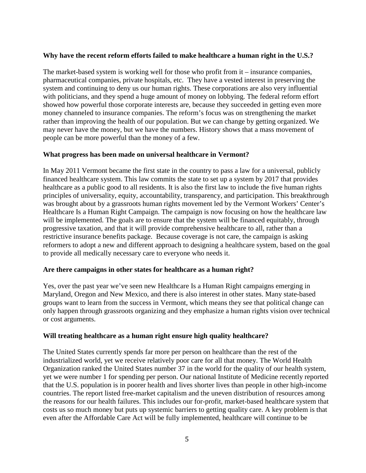## **Why have the recent reform efforts failed to make healthcare a human right in the U.S.?**

The market-based system is working well for those who profit from it – insurance companies, pharmaceutical companies, private hospitals, etc. They have a vested interest in preserving the system and continuing to deny us our human rights. These corporations are also very influential with politicians, and they spend a huge amount of money on lobbying. The federal reform effort showed how powerful those corporate interests are, because they succeeded in getting even more money channeled to insurance companies. The reform's focus was on strengthening the market rather than improving the health of our population. But we can change by getting organized. We may never have the money, but we have the numbers. History shows that a mass movement of people can be more powerful than the money of a few.

#### **What progress has been made on universal healthcare in Vermont?**

In May 2011 Vermont became the first state in the country to pass a law for a universal, publicly financed healthcare system. This law commits the state to set up a system by 2017 that provides healthcare as a public good to all residents. It is also the first law to include the five human rights principles of universality, equity, accountability, transparency, and participation. This breakthrough was brought about by a grassroots human rights movement led by the Vermont Workers' Center's Healthcare Is a Human Right Campaign. The campaign is now focusing on how the healthcare law will be implemented. The goals are to ensure that the system will be financed equitably, through progressive taxation, and that it will provide comprehensive healthcare to all, rather than a restrictive insurance benefits package. Because coverage is not care, the campaign is asking reformers to adopt a new and different approach to designing a healthcare system, based on the goal to provide all medically necessary care to everyone who needs it.

#### **Are there campaigns in other states for healthcare as a human right?**

Yes, over the past year we've seen new Healthcare Is a Human Right campaigns emerging in Maryland, Oregon and New Mexico, and there is also interest in other states. Many state-based groups want to learn from the success in Vermont, which means they see that political change can only happen through grassroots organizing and they emphasize a human rights vision over technical or cost arguments.

#### **Will treating healthcare as a human right ensure high quality healthcare?**

The United States currently spends far more per person on healthcare than the rest of the industrialized world, yet we receive relatively poor care for all that money. The World Health Organization ranked the United States number 37 in the world for the quality of our health system, yet we were number 1 for spending per person. Our national Institute of Medicine recently reported that the U.S. population is in poorer health and lives shorter lives than people in other high-income countries. The report listed free-market capitalism and the uneven distribution of resources among the reasons for our health failures. This includes our for-profit, market-based healthcare system that costs us so much money but puts up systemic barriers to getting quality care. A key problem is that even after the Affordable Care Act will be fully implemented, healthcare will continue to be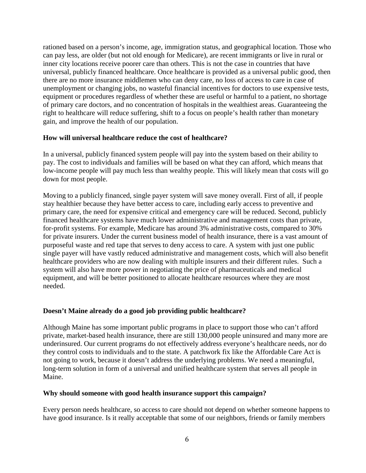rationed based on a person's income, age, immigration status, and geographical location. Those who can pay less, are older (but not old enough for Medicare), are recent immigrants or live in rural or inner city locations receive poorer care than others. This is not the case in countries that have universal, publicly financed healthcare. Once healthcare is provided as a universal public good, then there are no more insurance middlemen who can deny care, no loss of access to care in case of unemployment or changing jobs, no wasteful financial incentives for doctors to use expensive tests, equipment or procedures regardless of whether these are useful or harmful to a patient, no shortage of primary care doctors, and no concentration of hospitals in the wealthiest areas. Guaranteeing the right to healthcare will reduce suffering, shift to a focus on people's health rather than monetary gain, and improve the health of our population.

# **How will universal healthcare reduce the cost of healthcare?**

In a universal, publicly financed system people will pay into the system based on their ability to pay. The cost to individuals and families will be based on what they can afford, which means that low-income people will pay much less than wealthy people. This will likely mean that costs will go down for most people.

Moving to a publicly financed, single payer system will save money overall. First of all, if people stay healthier because they have better access to care, including early access to preventive and primary care, the need for expensive critical and emergency care will be reduced. Second, publicly financed healthcare systems have much lower administrative and management costs than private, for-profit systems. For example, Medicare has around 3% administrative costs, compared to 30% for private insurers. Under the current business model of health insurance, there is a vast amount of purposeful waste and red tape that serves to deny access to care. A system with just one public single payer will have vastly reduced administrative and management costs, which will also benefit healthcare providers who are now dealing with multiple insurers and their different rules. Such a system will also have more power in negotiating the price of pharmaceuticals and medical equipment, and will be better positioned to allocate healthcare resources where they are most needed.

#### **Doesn't Maine already do a good job providing public healthcare?**

Although Maine has some important public programs in place to support those who can't afford private, market-based health insurance, there are still 130,000 people uninsured and many more are underinsured. Our current programs do not effectively address everyone's healthcare needs, nor do they control costs to individuals and to the state. A patchwork fix like the Affordable Care Act is not going to work, because it doesn't address the underlying problems. We need a meaningful, long-term solution in form of a universal and unified healthcare system that serves all people in Maine.

#### **Why should someone with good health insurance support this campaign?**

Every person needs healthcare, so access to care should not depend on whether someone happens to have good insurance. Is it really acceptable that some of our neighbors, friends or family members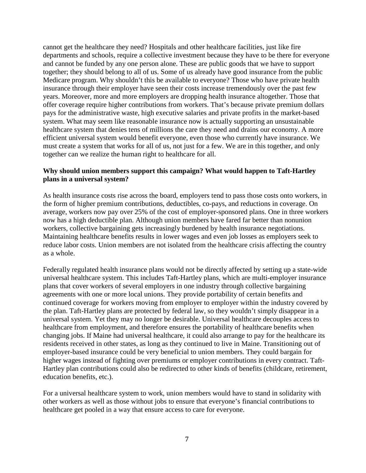cannot get the healthcare they need? Hospitals and other healthcare facilities, just like fire departments and schools, require a collective investment because they have to be there for everyone and cannot be funded by any one person alone. These are public goods that we have to support together; they should belong to all of us. Some of us already have good insurance from the public Medicare program. Why shouldn't this be available to everyone? Those who have private health insurance through their employer have seen their costs increase tremendously over the past few years. Moreover, more and more employers are dropping health insurance altogether. Those that offer coverage require higher contributions from workers. That's because private premium dollars pays for the administrative waste, high executive salaries and private profits in the market-based system. What may seem like reasonable insurance now is actually supporting an unsustainable healthcare system that denies tens of millions the care they need and drains our economy. A more efficient universal system would benefit everyone, even those who currently have insurance. We must create a system that works for all of us, not just for a few. We are in this together, and only together can we realize the human right to healthcare for all.

# **Why should union members support this campaign? What would happen to Taft-Hartley plans in a universal system?**

As health insurance costs rise across the board, employers tend to pass those costs onto workers, in the form of higher premium contributions, deductibles, co-pays, and reductions in coverage. On average, workers now pay over 25% of the cost of employer-sponsored plans. One in three workers now has a high deductible plan. Although union members have fared far better than nonunion workers, collective bargaining gets increasingly burdened by health insurance negotiations. Maintaining healthcare benefits results in lower wages and even job losses as employers seek to reduce labor costs. Union members are not isolated from the healthcare crisis affecting the country as a whole.

Federally regulated health insurance plans would not be directly affected by setting up a state-wide universal healthcare system. This includes Taft-Hartley plans, which are multi-employer insurance plans that cover workers of several employers in one industry through collective bargaining agreements with one or more local unions. They provide portability of certain benefits and continued coverage for workers moving from employer to employer within the industry covered by the plan. Taft-Hartley plans are protected by federal law, so they wouldn't simply disappear in a universal system. Yet they may no longer be desirable. Universal healthcare decouples access to healthcare from employment, and therefore ensures the portability of healthcare benefits when changing jobs. If Maine had universal healthcare, it could also arrange to pay for the healthcare its residents received in other states, as long as they continued to live in Maine. Transitioning out of employer-based insurance could be very beneficial to union members. They could bargain for higher wages instead of fighting over premiums or employer contributions in every contract. Taft-Hartley plan contributions could also be redirected to other kinds of benefits (childcare, retirement, education benefits, etc.).

For a universal healthcare system to work, union members would have to stand in solidarity with other workers as well as those without jobs to ensure that everyone's financial contributions to healthcare get pooled in a way that ensure access to care for everyone.